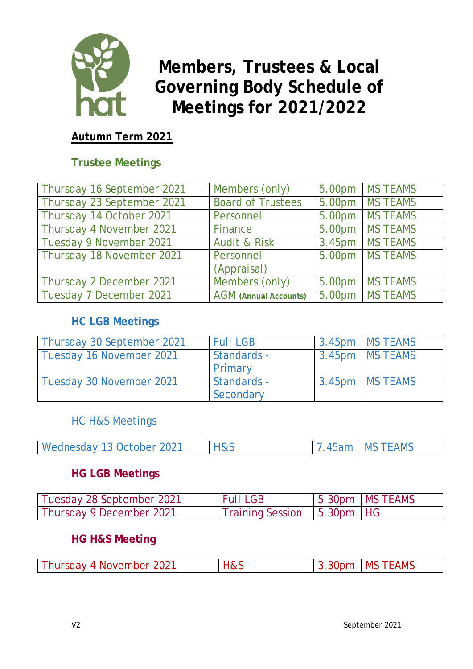

# **Members, Trustees & Local Governing Body Schedule of Meetings for 2021/2022**

#### **Autumn Term 2021**

#### **Trustee Meetings**

| Thursday 16 September 2021 | Members (only)               | 5.00pm   MS TEAMS |
|----------------------------|------------------------------|-------------------|
| Thursday 23 September 2021 | <b>Board of Trustees</b>     | 5.00pm   MS TEAMS |
| Thursday 14 October 2021   | Personnel                    | 5.00pm MS TEAMS   |
| Thursday 4 November 2021   | Finance                      | 5.00pm   MS TEAMS |
| Tuesday 9 November 2021    | <b>Audit &amp; Risk</b>      | 3.45pm   MS TEAMS |
| Thursday 18 November 2021  | Personnel                    | 5.00pm   MS TEAMS |
|                            | (Appraisal)                  |                   |
| Thursday 2 December 2021   | Members (only)               | 5.00pm   MS TEAMS |
| Tuesday 7 December 2021    | <b>AGM</b> (Annual Accounts) | 5.00pm   MS TEAMS |

#### **HC LGB Meetings**

| Thursday 30 September 2021 | <b>Full LGB</b>          | 3.45pm   MS TEAMS |
|----------------------------|--------------------------|-------------------|
| Tuesday 16 November 2021   | Standards -<br>Primary   | 3.45pm   MS TEAMS |
| Tuesday 30 November 2021   | Standards -<br>Secondary | 3.45pm   MS TEAMS |

HC H&S Meetings

|  | Wednesday 13 October 2021 | H&S |  | 7.45am   MS TEAMS |
|--|---------------------------|-----|--|-------------------|
|--|---------------------------|-----|--|-------------------|

#### **HG LGB Meetings**

| Tuesday 28 September 2021 | <b>Full LGB</b>                | $\vert$ 5.30pm $\vert$ MS TEAMS |
|---------------------------|--------------------------------|---------------------------------|
| Thursday 9 December 2021  | Training Session   5.30pm   HG |                                 |

#### **HG H&S Meeting**

| Thursday 4 November 2021 | H&S |  | 13.30pm   MS TEAMS |
|--------------------------|-----|--|--------------------|
|--------------------------|-----|--|--------------------|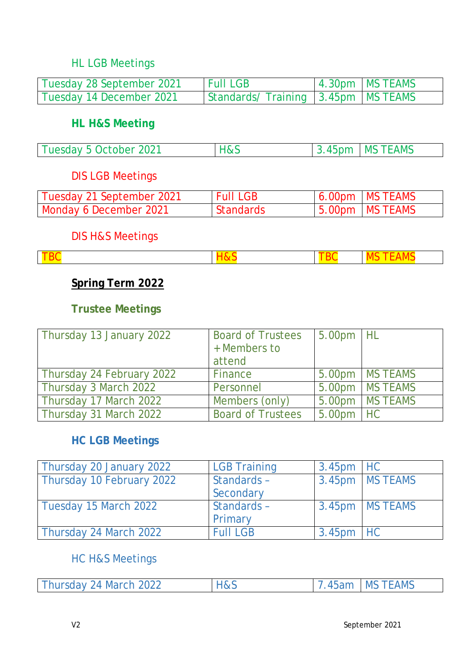#### HL LGB Meetings

| Tuesday 28 September 2021 | <b>Full LGB</b>                      | 4.30pm   MS TEAMS |
|---------------------------|--------------------------------------|-------------------|
| Tuesday 14 December 2021  | Standards/Training 3.45pm   MS TEAMS |                   |

#### **HL H&S Meeting**

 $\overline{\phantom{a}}$ 

| Tuesday 5 October 2021 | <b>H&amp;S</b> | $\vert$ 3.45pm $\vert$ MS TEAMS |
|------------------------|----------------|---------------------------------|
|                        |                |                                 |

#### DIS LGB Meetings

| Tuesday 21 September 2021 | <b>Full LGB</b>  | $6.00pm$ MS TEAMS |
|---------------------------|------------------|-------------------|
| Monday 6 December 2021    | <b>Standards</b> | 5.00pm   MS TEAMS |

# DIS H&S Meetings

|--|--|

#### **Spring Term 2022**

#### **Trustee Meetings**

| Thursday 13 January 2022  | <b>Board of Trustees</b><br>+ Members to<br>attend | 5.00pm HL   |                   |
|---------------------------|----------------------------------------------------|-------------|-------------------|
| Thursday 24 February 2022 | Finance                                            |             | 5.00pm   MS TEAMS |
| Thursday 3 March 2022     | Personnel                                          |             | 5.00pm   MS TEAMS |
| Thursday 17 March 2022    | Members (only)                                     |             | 5.00pm   MS TEAMS |
| Thursday 31 March 2022    | <b>Board of Trustees</b>                           | $5.00pm$ HC |                   |

#### **HC LGB Meetings**

| Thursday 20 January 2022  | <b>LGB Training</b> | $3.45pm$ HC |                 |
|---------------------------|---------------------|-------------|-----------------|
| Thursday 10 February 2022 | Standards -         |             | 3.45pm MS TEAMS |
|                           | Secondary           |             |                 |
| Tuesday 15 March 2022     | Standards -         |             | 3.45pm MS TEAMS |
|                           | Primary             |             |                 |
| Thursday 24 March 2022    | <b>Full LGB</b>     | $3.45pm$ HC |                 |

#### HC H&S Meetings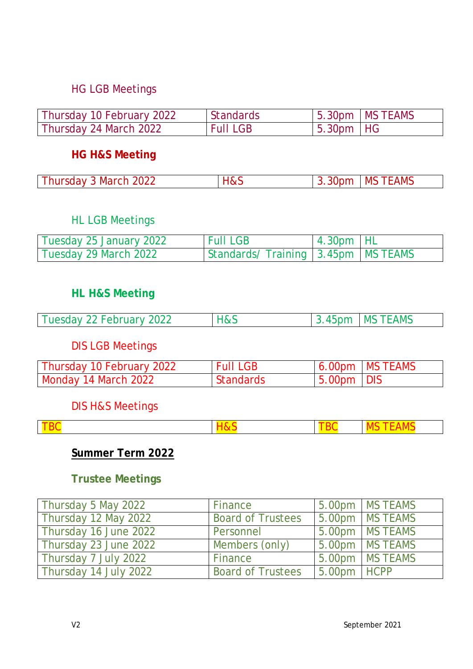#### HG LGB Meetings

| Thursday 10 February 2022 | <b>Standards</b> |             | $15.30pm$   MS TEAMS |
|---------------------------|------------------|-------------|----------------------|
| Thursday 24 March 2022    | <b>Full LGB</b>  | $5.30pm$ HG |                      |

#### **HG H&S Meeting**

| Thursday 3 March 2022 | H&S | 3.30 <sub>pm</sub> | <b>IMS TEAMS</b> |
|-----------------------|-----|--------------------|------------------|
|-----------------------|-----|--------------------|------------------|

#### HL LGB Meetings

| Tuesday 25 January 2022 | <b>Full LGB</b>                      | $4.30pm$ HL |  |
|-------------------------|--------------------------------------|-------------|--|
| Tuesday 29 March 2022   | Standards/Training 3.45pm   MS TEAMS |             |  |

#### **HL H&S Meeting**

| Tuesday 22 February 2022 | H&S | $\vert$ 3.45pm $\vert$ MS TEAMS |
|--------------------------|-----|---------------------------------|
|                          |     |                                 |

# DIS LGB Meetings

| Thursday 10 February 2022 | <b>Full LGB</b> |               | $6.00pm$ MS TEAMS |
|---------------------------|-----------------|---------------|-------------------|
| Monday 14 March 2022      | Standards       | $15.00pm$ DIS |                   |

# DIS H&S Meetings

# **Summer Term 2022**

# **Trustee Meetings**

| Thursday 5 May 2022   | Finance                  |               | 5.00pm   MS TEAMS |
|-----------------------|--------------------------|---------------|-------------------|
| Thursday 12 May 2022  | <b>Board of Trustees</b> |               | 5.00pm   MS TEAMS |
| Thursday 16 June 2022 | Personnel                |               | 5.00pm   MS TEAMS |
| Thursday 23 June 2022 | Members (only)           |               | 5.00pm   MS TEAMS |
| Thursday 7 July 2022  | Finance                  |               | 5.00pm MS TEAMS   |
| Thursday 14 July 2022 | <b>Board of Trustees</b> | $5.00pm$ HCPP |                   |